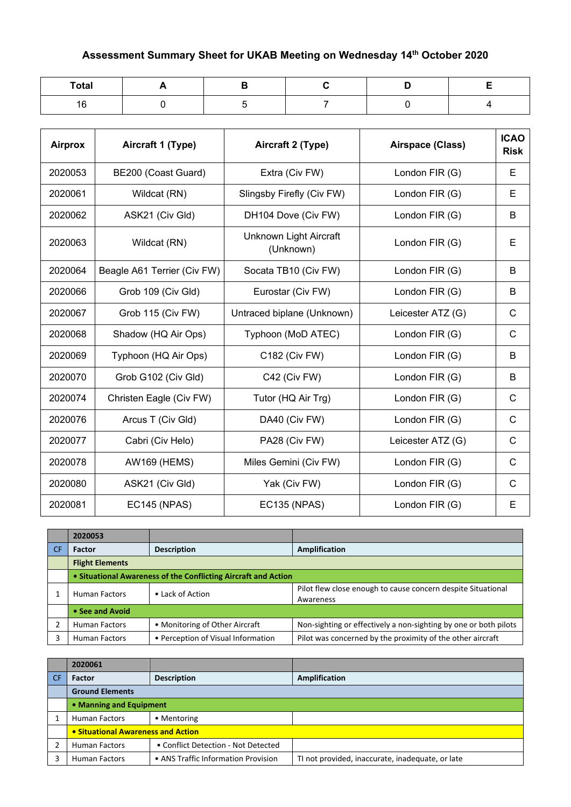## **Assessment Summary Sheet for UKAB Meeting on Wednesday 14th October 2020**

| <b>Total</b> |  |  |  |
|--------------|--|--|--|
| 16           |  |  |  |

| <b>Airprox</b> | Aircraft 1 (Type)           | Aircraft 2 (Type)                   | Airspace (Class)  | <b>ICAO</b><br><b>Risk</b> |
|----------------|-----------------------------|-------------------------------------|-------------------|----------------------------|
| 2020053        | BE200 (Coast Guard)         | Extra (Civ FW)                      | London FIR (G)    | Е                          |
| 2020061        | Wildcat (RN)                | Slingsby Firefly (Civ FW)           | London FIR (G)    | E                          |
| 2020062        | ASK21 (Civ Gld)             | DH104 Dove (Civ FW)                 | London FIR (G)    | B                          |
| 2020063        | Wildcat (RN)                | Unknown Light Aircraft<br>(Unknown) | London FIR (G)    | E                          |
| 2020064        | Beagle A61 Terrier (Civ FW) | Socata TB10 (Civ FW)                | London FIR (G)    | B                          |
| 2020066        | Grob 109 (Civ Gld)          | Eurostar (Civ FW)                   | London FIR (G)    | B                          |
| 2020067        | Grob 115 (Civ FW)           | Untraced biplane (Unknown)          | Leicester ATZ (G) | $\mathsf{C}$               |
| 2020068        | Shadow (HQ Air Ops)         | Typhoon (MoD ATEC)                  | London FIR (G)    | $\mathsf{C}$               |
| 2020069        | Typhoon (HQ Air Ops)        | C182 (Civ FW)                       | London FIR (G)    | B                          |
| 2020070        | Grob G102 (Civ Gld)         | C42 (Civ FW)                        | London FIR (G)    | B                          |
| 2020074        | Christen Eagle (Civ FW)     | Tutor (HQ Air Trg)                  | London FIR (G)    | $\mathsf{C}$               |
| 2020076        | Arcus T (Civ Gld)           | DA40 (Civ FW)                       | London FIR (G)    | $\mathsf{C}$               |
| 2020077        | Cabri (Civ Helo)            | PA28 (Civ FW)                       | Leicester ATZ (G) | $\mathsf{C}$               |
| 2020078        | <b>AW169 (HEMS)</b>         | Miles Gemini (Civ FW)               | London FIR (G)    | $\mathsf{C}$               |
| 2020080        | ASK21 (Civ Gld)             | Yak (Civ FW)                        | London FIR (G)    | C                          |
| 2020081        | <b>EC145 (NPAS)</b>         | <b>EC135 (NPAS)</b>                 | London FIR (G)    | E                          |

|           | 2020053                |                                                                |                                                                           |
|-----------|------------------------|----------------------------------------------------------------|---------------------------------------------------------------------------|
| <b>CF</b> | <b>Factor</b>          | <b>Description</b>                                             | Amplification                                                             |
|           | <b>Flight Elements</b> |                                                                |                                                                           |
|           |                        | • Situational Awareness of the Conflicting Aircraft and Action |                                                                           |
|           | <b>Human Factors</b>   | • Lack of Action                                               | Pilot flew close enough to cause concern despite Situational<br>Awareness |
|           | • See and Avoid        |                                                                |                                                                           |
|           | <b>Human Factors</b>   | • Monitoring of Other Aircraft                                 | Non-sighting or effectively a non-sighting by one or both pilots          |
|           | <b>Human Factors</b>   | • Perception of Visual Information                             | Pilot was concerned by the proximity of the other aircraft                |

|      | 2020061                                   |                                     |                                                  |
|------|-------------------------------------------|-------------------------------------|--------------------------------------------------|
| ∣ CF | Factor                                    | <b>Description</b>                  | <b>Amplification</b>                             |
|      | <b>Ground Elements</b>                    |                                     |                                                  |
|      | • Manning and Equipment                   |                                     |                                                  |
|      | <b>Human Factors</b>                      | • Mentoring                         |                                                  |
|      | <b>• Situational Awareness and Action</b> |                                     |                                                  |
|      | <b>Human Factors</b>                      | • Conflict Detection - Not Detected |                                                  |
|      | <b>Human Factors</b>                      | • ANS Traffic Information Provision | TI not provided, inaccurate, inadequate, or late |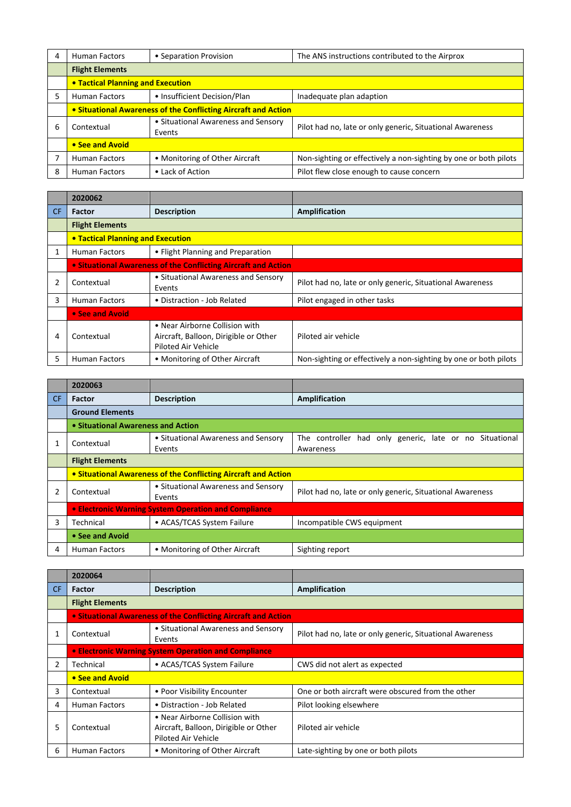| 4 | <b>Human Factors</b>                                           | • Separation Provision                        | The ANS instructions contributed to the Airprox                  |  |
|---|----------------------------------------------------------------|-----------------------------------------------|------------------------------------------------------------------|--|
|   | <b>Flight Elements</b>                                         |                                               |                                                                  |  |
|   | <b>• Tactical Planning and Execution</b>                       |                                               |                                                                  |  |
| 5 | <b>Human Factors</b>                                           | • Insufficient Decision/Plan                  | Inadequate plan adaption                                         |  |
|   | • Situational Awareness of the Conflicting Aircraft and Action |                                               |                                                                  |  |
| 6 | Contextual                                                     | • Situational Awareness and Sensory<br>Events | Pilot had no, late or only generic, Situational Awareness        |  |
|   | • See and Avoid                                                |                                               |                                                                  |  |
|   | <b>Human Factors</b>                                           | • Monitoring of Other Aircraft                | Non-sighting or effectively a non-sighting by one or both pilots |  |
| 8 | <b>Human Factors</b>                                           | • Lack of Action                              | Pilot flew close enough to cause concern                         |  |

|           | 2020062                                                               |                                                                                                |                                                                  |
|-----------|-----------------------------------------------------------------------|------------------------------------------------------------------------------------------------|------------------------------------------------------------------|
| <b>CF</b> | Factor                                                                | <b>Description</b>                                                                             | <b>Amplification</b>                                             |
|           | <b>Flight Elements</b>                                                |                                                                                                |                                                                  |
|           | <b>.</b> Tactical Planning and Execution                              |                                                                                                |                                                                  |
|           | <b>Human Factors</b>                                                  | • Flight Planning and Preparation                                                              |                                                                  |
|           | <b>• Situational Awareness of the Conflicting Aircraft and Action</b> |                                                                                                |                                                                  |
| 2         | Contextual                                                            | • Situational Awareness and Sensory<br>Events                                                  | Pilot had no, late or only generic, Situational Awareness        |
| 3         | <b>Human Factors</b>                                                  | • Distraction - Job Related                                                                    | Pilot engaged in other tasks                                     |
|           | • See and Avoid                                                       |                                                                                                |                                                                  |
| 4         | Contextual                                                            | • Near Airborne Collision with<br>Aircraft, Balloon, Dirigible or Other<br>Piloted Air Vehicle | Piloted air vehicle                                              |
| 5         | <b>Human Factors</b>                                                  | • Monitoring of Other Aircraft                                                                 | Non-sighting or effectively a non-sighting by one or both pilots |

| CF.            | Factor                                                         | <b>Description</b>                            | <b>Amplification</b>                                                 |
|----------------|----------------------------------------------------------------|-----------------------------------------------|----------------------------------------------------------------------|
|                | <b>Ground Elements</b>                                         |                                               |                                                                      |
|                | • Situational Awareness and Action                             |                                               |                                                                      |
|                | Contextual                                                     | • Situational Awareness and Sensory<br>Events | The controller had only generic, late or no Situational<br>Awareness |
|                | <b>Flight Elements</b>                                         |                                               |                                                                      |
|                | • Situational Awareness of the Conflicting Aircraft and Action |                                               |                                                                      |
| $\overline{2}$ | Contextual                                                     | • Situational Awareness and Sensory<br>Events | Pilot had no, late or only generic, Situational Awareness            |
|                | • Electronic Warning System Operation and Compliance           |                                               |                                                                      |
| 3              | Technical                                                      | • ACAS/TCAS System Failure                    | Incompatible CWS equipment                                           |
|                | • See and Avoid                                                |                                               |                                                                      |
| 4              | <b>Human Factors</b>                                           | • Monitoring of Other Aircraft                | Sighting report                                                      |

|     | 2020064                                              |                                                                                                |                                                           |
|-----|------------------------------------------------------|------------------------------------------------------------------------------------------------|-----------------------------------------------------------|
| CF. | Factor                                               | <b>Description</b>                                                                             | <b>Amplification</b>                                      |
|     | <b>Flight Elements</b>                               |                                                                                                |                                                           |
|     |                                                      | • Situational Awareness of the Conflicting Aircraft and Action                                 |                                                           |
|     | Contextual                                           | • Situational Awareness and Sensory<br>Events                                                  | Pilot had no, late or only generic, Situational Awareness |
|     | • Electronic Warning System Operation and Compliance |                                                                                                |                                                           |
| 2   | Technical                                            | • ACAS/TCAS System Failure                                                                     | CWS did not alert as expected                             |
|     | • See and Avoid                                      |                                                                                                |                                                           |
| 3   | Contextual                                           | • Poor Visibility Encounter                                                                    | One or both aircraft were obscured from the other         |
| 4   | <b>Human Factors</b>                                 | • Distraction - Job Related                                                                    | Pilot looking elsewhere                                   |
| 5   | Contextual                                           | • Near Airborne Collision with<br>Aircraft, Balloon, Dirigible or Other<br>Piloted Air Vehicle | Piloted air vehicle                                       |
| 6   | <b>Human Factors</b>                                 | • Monitoring of Other Aircraft                                                                 | Late-sighting by one or both pilots                       |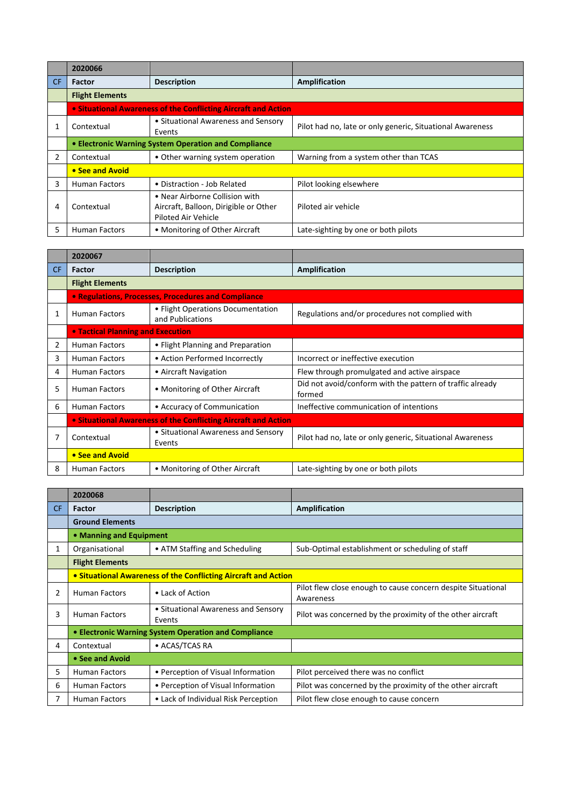|     | 2020066                |                                                                                                       |                                                           |
|-----|------------------------|-------------------------------------------------------------------------------------------------------|-----------------------------------------------------------|
| CF. | <b>Factor</b>          | <b>Description</b>                                                                                    | <b>Amplification</b>                                      |
|     | <b>Flight Elements</b> |                                                                                                       |                                                           |
|     |                        | • Situational Awareness of the Conflicting Aircraft and Action                                        |                                                           |
|     | Contextual             | • Situational Awareness and Sensory<br>Events                                                         | Pilot had no, late or only generic, Situational Awareness |
|     |                        | • Electronic Warning System Operation and Compliance                                                  |                                                           |
|     | Contextual             | • Other warning system operation                                                                      | Warning from a system other than TCAS                     |
|     | • See and Avoid        |                                                                                                       |                                                           |
| 3   | <b>Human Factors</b>   | • Distraction - Job Related                                                                           | Pilot looking elsewhere                                   |
| 4   | Contextual             | • Near Airborne Collision with<br>Aircraft, Balloon, Dirigible or Other<br><b>Piloted Air Vehicle</b> | Piloted air vehicle                                       |
| 5   | <b>Human Factors</b>   | • Monitoring of Other Aircraft                                                                        | Late-sighting by one or both pilots                       |

|           | 2020067                                                        |                                                       |                                                                     |
|-----------|----------------------------------------------------------------|-------------------------------------------------------|---------------------------------------------------------------------|
| <b>CF</b> | Factor                                                         | <b>Description</b>                                    | Amplification                                                       |
|           | <b>Flight Elements</b>                                         |                                                       |                                                                     |
|           |                                                                | • Regulations, Processes, Procedures and Compliance   |                                                                     |
|           | <b>Human Factors</b>                                           | • Flight Operations Documentation<br>and Publications | Regulations and/or procedures not complied with                     |
|           | <b>• Tactical Planning and Execution</b>                       |                                                       |                                                                     |
| 2         | <b>Human Factors</b>                                           | • Flight Planning and Preparation                     |                                                                     |
| 3         | <b>Human Factors</b>                                           | • Action Performed Incorrectly                        | Incorrect or ineffective execution                                  |
| 4         | <b>Human Factors</b>                                           | • Aircraft Navigation                                 | Flew through promulgated and active airspace                        |
| 5         | <b>Human Factors</b>                                           | • Monitoring of Other Aircraft                        | Did not avoid/conform with the pattern of traffic already<br>formed |
| 6         | <b>Human Factors</b>                                           | • Accuracy of Communication                           | Ineffective communication of intentions                             |
|           | • Situational Awareness of the Conflicting Aircraft and Action |                                                       |                                                                     |
|           | Contextual                                                     | • Situational Awareness and Sensory<br>Events         | Pilot had no, late or only generic, Situational Awareness           |
|           | • See and Avoid                                                |                                                       |                                                                     |
| 8         | <b>Human Factors</b>                                           | • Monitoring of Other Aircraft                        | Late-sighting by one or both pilots                                 |

|                | 2020068                 |                                                                |                                                                           |
|----------------|-------------------------|----------------------------------------------------------------|---------------------------------------------------------------------------|
| CF.            | Factor                  | <b>Description</b>                                             | Amplification                                                             |
|                | <b>Ground Elements</b>  |                                                                |                                                                           |
|                | • Manning and Equipment |                                                                |                                                                           |
| 1              | Organisational          | • ATM Staffing and Scheduling                                  | Sub-Optimal establishment or scheduling of staff                          |
|                | <b>Flight Elements</b>  |                                                                |                                                                           |
|                |                         | • Situational Awareness of the Conflicting Aircraft and Action |                                                                           |
| $\overline{2}$ | <b>Human Factors</b>    | • Lack of Action                                               | Pilot flew close enough to cause concern despite Situational<br>Awareness |
| 3              | <b>Human Factors</b>    | • Situational Awareness and Sensory<br>Events                  | Pilot was concerned by the proximity of the other aircraft                |
|                |                         | • Electronic Warning System Operation and Compliance           |                                                                           |
| 4              | Contextual              | • ACAS/TCAS RA                                                 |                                                                           |
|                | • See and Avoid         |                                                                |                                                                           |
| 5              | <b>Human Factors</b>    | • Perception of Visual Information                             | Pilot perceived there was no conflict                                     |
| 6              | <b>Human Factors</b>    | • Perception of Visual Information                             | Pilot was concerned by the proximity of the other aircraft                |
|                | <b>Human Factors</b>    | • Lack of Individual Risk Perception                           | Pilot flew close enough to cause concern                                  |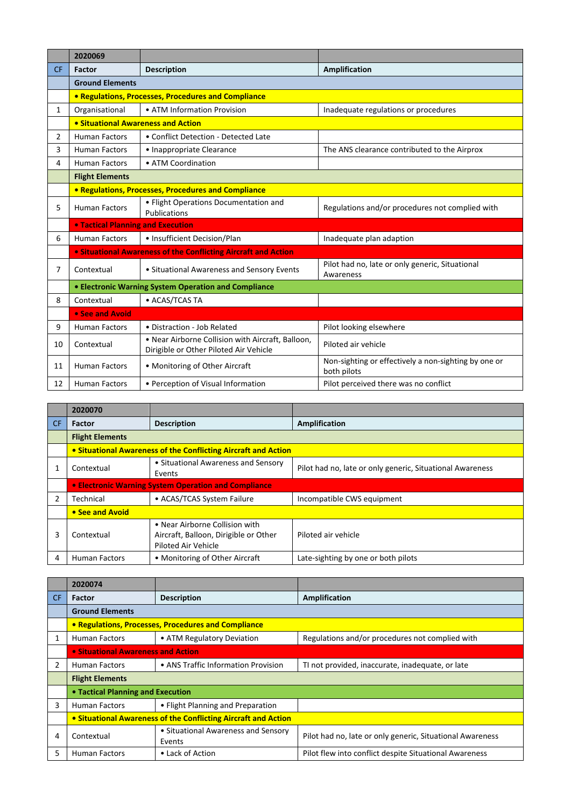|                | 2020069                                  |                                                                                             |                                                                     |
|----------------|------------------------------------------|---------------------------------------------------------------------------------------------|---------------------------------------------------------------------|
| <b>CF</b>      | <b>Factor</b>                            | <b>Description</b>                                                                          | <b>Amplification</b>                                                |
|                | <b>Ground Elements</b>                   |                                                                                             |                                                                     |
|                |                                          | • Regulations, Processes, Procedures and Compliance                                         |                                                                     |
| $\mathbf{1}$   | Organisational                           | • ATM Information Provision                                                                 | Inadequate regulations or procedures                                |
|                | • Situational Awareness and Action       |                                                                                             |                                                                     |
| $\overline{2}$ | <b>Human Factors</b>                     | • Conflict Detection - Detected Late                                                        |                                                                     |
| 3              | <b>Human Factors</b>                     | • Inappropriate Clearance                                                                   | The ANS clearance contributed to the Airprox                        |
| 4              | <b>Human Factors</b>                     | • ATM Coordination                                                                          |                                                                     |
|                | <b>Flight Elements</b>                   |                                                                                             |                                                                     |
|                |                                          | • Regulations, Processes, Procedures and Compliance                                         |                                                                     |
| 5              | <b>Human Factors</b>                     | • Flight Operations Documentation and<br>Publications                                       | Regulations and/or procedures not complied with                     |
|                | <b>. Tactical Planning and Execution</b> |                                                                                             |                                                                     |
| 6              | <b>Human Factors</b>                     | • Insufficient Decision/Plan                                                                | Inadequate plan adaption                                            |
|                |                                          | <b>. Situational Awareness of the Conflicting Aircraft and Action</b>                       |                                                                     |
| 7              | Contextual                               | • Situational Awareness and Sensory Events                                                  | Pilot had no, late or only generic, Situational<br>Awareness        |
|                |                                          | • Electronic Warning System Operation and Compliance                                        |                                                                     |
| 8              | Contextual                               | • ACAS/TCAS TA                                                                              |                                                                     |
|                | • See and Avoid                          |                                                                                             |                                                                     |
| 9              | <b>Human Factors</b>                     | • Distraction - Job Related                                                                 | Pilot looking elsewhere                                             |
| 10             | Contextual                               | . Near Airborne Collision with Aircraft, Balloon,<br>Dirigible or Other Piloted Air Vehicle | Piloted air vehicle                                                 |
| 11             | <b>Human Factors</b>                     | • Monitoring of Other Aircraft                                                              | Non-sighting or effectively a non-sighting by one or<br>both pilots |
| 12             | <b>Human Factors</b>                     | • Perception of Visual Information                                                          | Pilot perceived there was no conflict                               |

|     | 2020070                                              |                                                                                                |                                                           |
|-----|------------------------------------------------------|------------------------------------------------------------------------------------------------|-----------------------------------------------------------|
| CF. | Factor                                               | <b>Description</b>                                                                             | <b>Amplification</b>                                      |
|     | <b>Flight Elements</b>                               |                                                                                                |                                                           |
|     |                                                      | • Situational Awareness of the Conflicting Aircraft and Action                                 |                                                           |
|     | Contextual                                           | • Situational Awareness and Sensory<br>Events                                                  | Pilot had no, late or only generic, Situational Awareness |
|     | • Electronic Warning System Operation and Compliance |                                                                                                |                                                           |
| 2   | Technical                                            | • ACAS/TCAS System Failure                                                                     | Incompatible CWS equipment                                |
|     | • See and Avoid                                      |                                                                                                |                                                           |
| 3   | Contextual                                           | • Near Airborne Collision with<br>Aircraft, Balloon, Dirigible or Other<br>Piloted Air Vehicle | Piloted air vehicle                                       |
| 4   | <b>Human Factors</b>                                 | • Monitoring of Other Aircraft                                                                 | Late-sighting by one or both pilots                       |

|     | 2020074                                                        |                                                     |                                                           |
|-----|----------------------------------------------------------------|-----------------------------------------------------|-----------------------------------------------------------|
| CF. | Factor                                                         | <b>Description</b>                                  | Amplification                                             |
|     | <b>Ground Elements</b>                                         |                                                     |                                                           |
|     |                                                                | • Regulations, Processes, Procedures and Compliance |                                                           |
|     | <b>Human Factors</b>                                           | • ATM Regulatory Deviation                          | Regulations and/or procedures not complied with           |
|     | • Situational Awareness and Action                             |                                                     |                                                           |
| 2   | <b>Human Factors</b>                                           | • ANS Traffic Information Provision                 | TI not provided, inaccurate, inadequate, or late          |
|     | <b>Flight Elements</b>                                         |                                                     |                                                           |
|     | • Tactical Planning and Execution                              |                                                     |                                                           |
| 3   | <b>Human Factors</b>                                           | • Flight Planning and Preparation                   |                                                           |
|     | • Situational Awareness of the Conflicting Aircraft and Action |                                                     |                                                           |
| 4   | Contextual                                                     | • Situational Awareness and Sensory<br>Events       | Pilot had no, late or only generic, Situational Awareness |
| 5   | <b>Human Factors</b>                                           | • Lack of Action                                    | Pilot flew into conflict despite Situational Awareness    |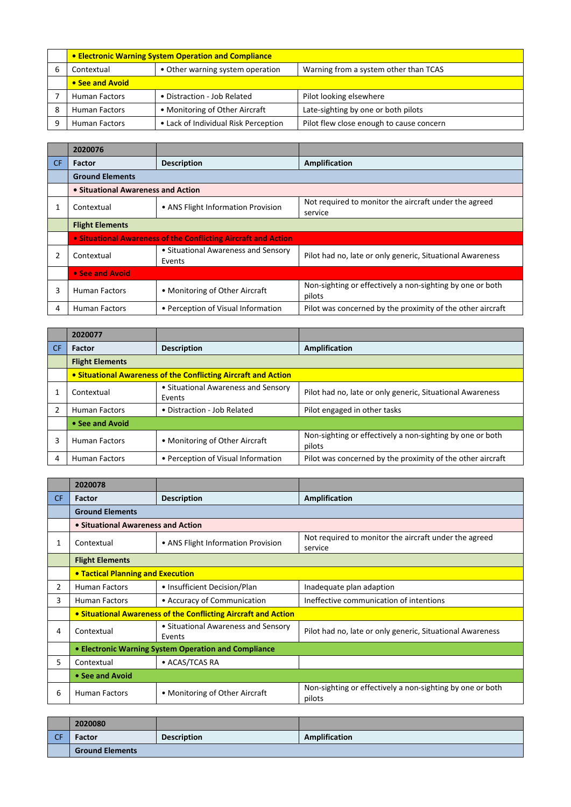| • Electronic Warning System Operation and Compliance |                                      |                                          |
|------------------------------------------------------|--------------------------------------|------------------------------------------|
| Contextual                                           | • Other warning system operation     | Warning from a system other than TCAS    |
| • See and Avoid                                      |                                      |                                          |
| <b>Human Factors</b>                                 | • Distraction - Job Related          | Pilot looking elsewhere                  |
| <b>Human Factors</b>                                 | • Monitoring of Other Aircraft       | Late-sighting by one or both pilots      |
| <b>Human Factors</b>                                 | • Lack of Individual Risk Perception | Pilot flew close enough to cause concern |

|     | 2020076                                                        |                                               |                                                                     |
|-----|----------------------------------------------------------------|-----------------------------------------------|---------------------------------------------------------------------|
| CF. | <b>Factor</b>                                                  | <b>Description</b>                            | Amplification                                                       |
|     | <b>Ground Elements</b>                                         |                                               |                                                                     |
|     | • Situational Awareness and Action                             |                                               |                                                                     |
|     | Contextual                                                     | • ANS Flight Information Provision            | Not required to monitor the aircraft under the agreed<br>service    |
|     | <b>Flight Elements</b>                                         |                                               |                                                                     |
|     | • Situational Awareness of the Conflicting Aircraft and Action |                                               |                                                                     |
| 2   | Contextual                                                     | • Situational Awareness and Sensory<br>Events | Pilot had no, late or only generic, Situational Awareness           |
|     | • See and Avoid                                                |                                               |                                                                     |
| 3   | <b>Human Factors</b>                                           | • Monitoring of Other Aircraft                | Non-sighting or effectively a non-sighting by one or both<br>pilots |
| 4   | <b>Human Factors</b>                                           | • Perception of Visual Information            | Pilot was concerned by the proximity of the other aircraft          |

|    | 2020077                |                                                                |                                                                     |
|----|------------------------|----------------------------------------------------------------|---------------------------------------------------------------------|
| CF | <b>Factor</b>          | <b>Description</b>                                             | Amplification                                                       |
|    | <b>Flight Elements</b> |                                                                |                                                                     |
|    |                        | • Situational Awareness of the Conflicting Aircraft and Action |                                                                     |
|    | Contextual             | • Situational Awareness and Sensory<br>Events                  | Pilot had no, late or only generic, Situational Awareness           |
|    | <b>Human Factors</b>   | • Distraction - Job Related                                    | Pilot engaged in other tasks                                        |
|    | • See and Avoid        |                                                                |                                                                     |
| 3  | <b>Human Factors</b>   | • Monitoring of Other Aircraft                                 | Non-sighting or effectively a non-sighting by one or both<br>pilots |
| 4  | <b>Human Factors</b>   | • Perception of Visual Information                             | Pilot was concerned by the proximity of the other aircraft          |

|           | 2020078                                                        |                                               |                                                                     |
|-----------|----------------------------------------------------------------|-----------------------------------------------|---------------------------------------------------------------------|
| <b>CF</b> | Factor                                                         | <b>Description</b>                            | Amplification                                                       |
|           | <b>Ground Elements</b>                                         |                                               |                                                                     |
|           | • Situational Awareness and Action                             |                                               |                                                                     |
| 1         | Contextual                                                     | • ANS Flight Information Provision            | Not required to monitor the aircraft under the agreed<br>service    |
|           | <b>Flight Elements</b>                                         |                                               |                                                                     |
|           | • Tactical Planning and Execution                              |                                               |                                                                     |
| 2         | <b>Human Factors</b>                                           | • Insufficient Decision/Plan                  | Inadequate plan adaption                                            |
| 3         | <b>Human Factors</b>                                           | • Accuracy of Communication                   | Ineffective communication of intentions                             |
|           | • Situational Awareness of the Conflicting Aircraft and Action |                                               |                                                                     |
| 4         | Contextual                                                     | • Situational Awareness and Sensory<br>Events | Pilot had no, late or only generic, Situational Awareness           |
|           | • Electronic Warning System Operation and Compliance           |                                               |                                                                     |
| 5.        | Contextual                                                     | • ACAS/TCAS RA                                |                                                                     |
|           | • See and Avoid                                                |                                               |                                                                     |
| 6         | <b>Human Factors</b>                                           | • Monitoring of Other Aircraft                | Non-sighting or effectively a non-sighting by one or both<br>pilots |

|     | 2020080                |                    |                      |
|-----|------------------------|--------------------|----------------------|
| CCF | <b>Factor</b>          | <b>Description</b> | <b>Amplification</b> |
|     | <b>Ground Elements</b> |                    |                      |